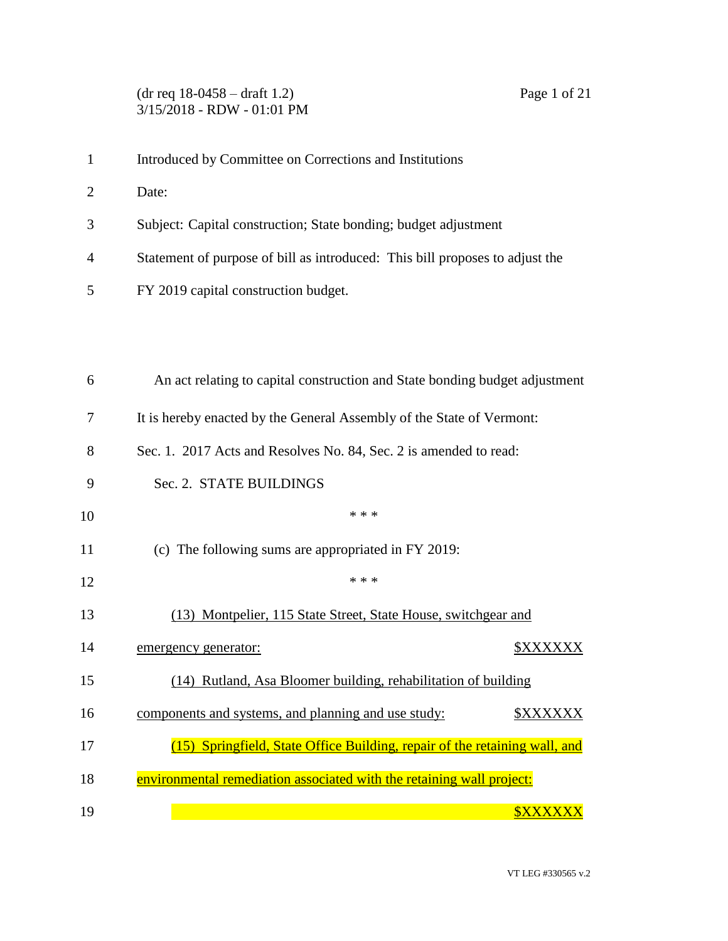## (dr req 18-0458 – draft 1.2) Page 1 of 21 3/15/2018 - RDW - 01:01 PM

- Introduced by Committee on Corrections and Institutions
- Date:
- Subject: Capital construction; State bonding; budget adjustment
- Statement of purpose of bill as introduced: This bill proposes to adjust the
- FY 2019 capital construction budget.

| 6  | An act relating to capital construction and State bonding budget adjustment |
|----|-----------------------------------------------------------------------------|
| 7  | It is hereby enacted by the General Assembly of the State of Vermont:       |
| 8  | Sec. 1. 2017 Acts and Resolves No. 84, Sec. 2 is amended to read:           |
| 9  | Sec. 2. STATE BUILDINGS                                                     |
| 10 | * * *                                                                       |
| 11 | (c) The following sums are appropriated in FY 2019:                         |
| 12 | * * *                                                                       |
| 13 | (13) Montpelier, 115 State Street, State House, switchgear and              |
| 14 | \$XXXXXX<br>emergency generator:                                            |
| 15 | (14) Rutland, Asa Bloomer building, rehabilitation of building              |
| 16 | components and systems, and planning and use study:<br><b>\$XXXXXX</b>      |
| 17 | (15) Springfield, State Office Building, repair of the retaining wall, and  |
| 18 | environmental remediation associated with the retaining wall project:       |
| 19 | <b>SXXXX</b>                                                                |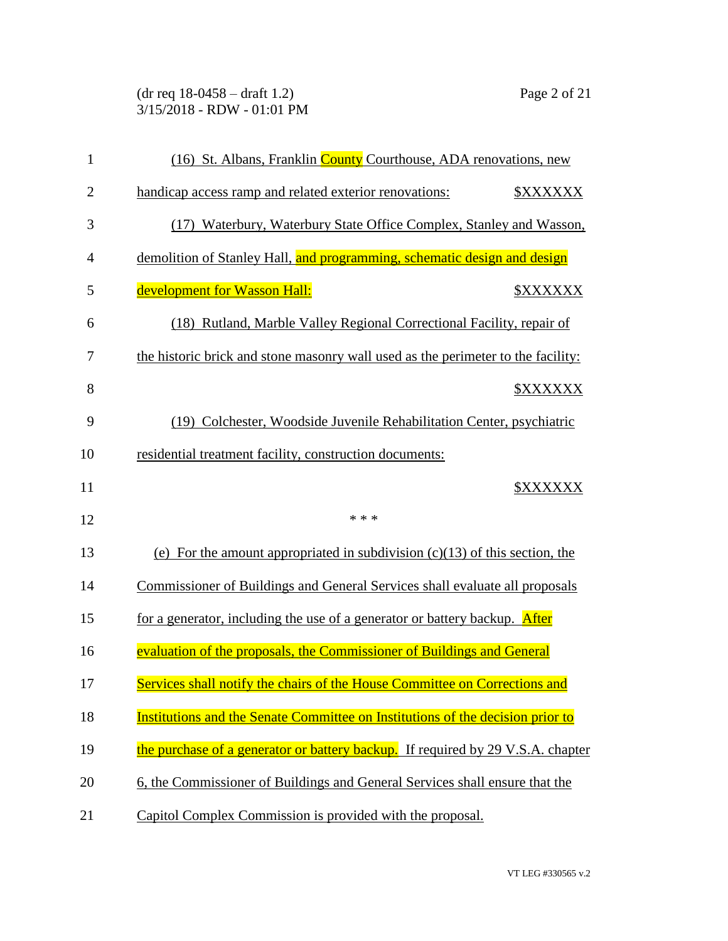(dr req 18-0458 – draft 1.2) Page 2 of 21 3/15/2018 - RDW - 01:01 PM

| $\mathbf{1}$   | (16) St. Albans, Franklin County Courthouse, ADA renovations, new                      |  |
|----------------|----------------------------------------------------------------------------------------|--|
| $\overline{2}$ | handicap access ramp and related exterior renovations:<br><b><i><u>SXXXXXX</u></i></b> |  |
| 3              | (17) Waterbury, Waterbury State Office Complex, Stanley and Wasson,                    |  |
| $\overline{4}$ | demolition of Stanley Hall, and programming, schematic design and design               |  |
| 5              | development for Wasson Hall:<br><b><i>\$XXXXXX</i></b>                                 |  |
| 6              | (18) Rutland, Marble Valley Regional Correctional Facility, repair of                  |  |
| 7              | the historic brick and stone masonry wall used as the perimeter to the facility:       |  |
| 8              | <b><i>\$XXXXXX</i></b>                                                                 |  |
| 9              | (19) Colchester, Woodside Juvenile Rehabilitation Center, psychiatric                  |  |
| 10             | residential treatment facility, construction documents:                                |  |
| 11             | <b><i>\$XXXXXX</i></b>                                                                 |  |
| 12             | * * *                                                                                  |  |
| 13             | (e) For the amount appropriated in subdivision $(c)(13)$ of this section, the          |  |
| 14             | Commissioner of Buildings and General Services shall evaluate all proposals            |  |
| 15             | for a generator, including the use of a generator or battery backup. After             |  |
| 16             | evaluation of the proposals, the Commissioner of Buildings and General                 |  |
| 17             | Services shall notify the chairs of the House Committee on Corrections and             |  |
| 18             | Institutions and the Senate Committee on Institutions of the decision prior to         |  |
| 19             | the purchase of a generator or battery backup. If required by 29 V.S.A. chapter        |  |
| 20             | 6, the Commissioner of Buildings and General Services shall ensure that the            |  |
| 21             | Capitol Complex Commission is provided with the proposal.                              |  |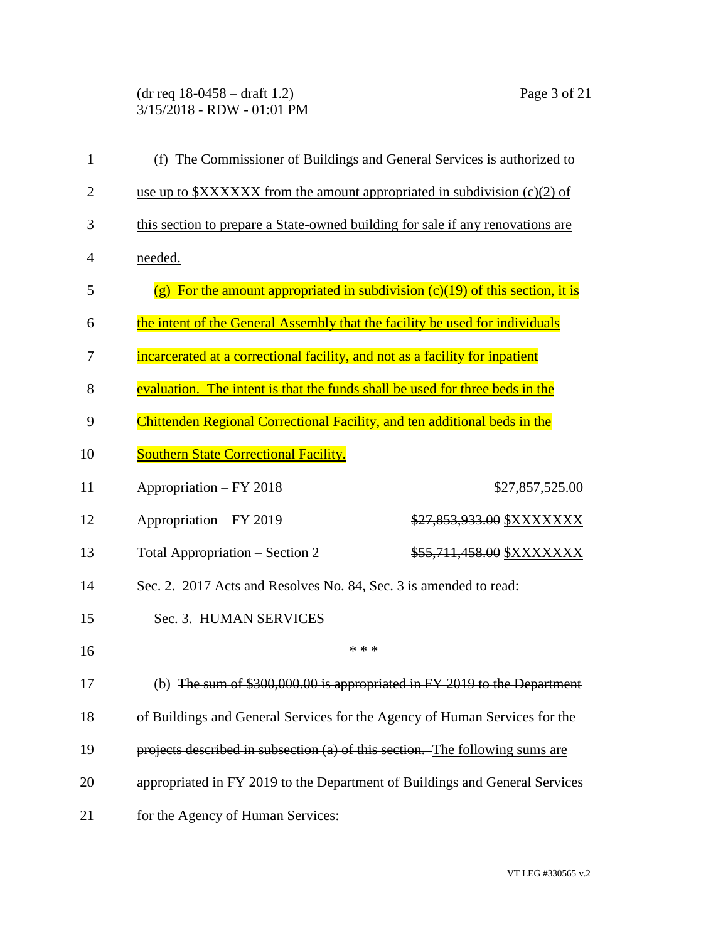(dr req 18-0458 – draft 1.2) Page 3 of 21 3/15/2018 - RDW - 01:01 PM

| $\mathbf{1}$   | (f) The Commissioner of Buildings and General Services is authorized to        |                                                                                 |  |
|----------------|--------------------------------------------------------------------------------|---------------------------------------------------------------------------------|--|
| $\overline{2}$ | use up to $XXXXXX$ from the amount appropriated in subdivision (c)(2) of       |                                                                                 |  |
| 3              | this section to prepare a State-owned building for sale if any renovations are |                                                                                 |  |
| 4              | needed.                                                                        |                                                                                 |  |
| 5              |                                                                                | (g) For the amount appropriated in subdivision $(c)(19)$ of this section, it is |  |
| 6              | the intent of the General Assembly that the facility be used for individuals   |                                                                                 |  |
| 7              | incarcerated at a correctional facility, and not as a facility for inpatient   |                                                                                 |  |
| 8              | evaluation. The intent is that the funds shall be used for three beds in the   |                                                                                 |  |
| 9              | Chittenden Regional Correctional Facility, and ten additional beds in the      |                                                                                 |  |
| 10             | <b>Southern State Correctional Facility.</b>                                   |                                                                                 |  |
| 11             | Appropriation – FY 2018                                                        | \$27,857,525.00                                                                 |  |
| 12             | Appropriation - FY 2019                                                        | \$27,853,933.00 \$XXXXXXX                                                       |  |
| 13             | Total Appropriation – Section 2                                                | \$55,711,458.00 \$XXXXXXX                                                       |  |
| 14             | Sec. 2. 2017 Acts and Resolves No. 84, Sec. 3 is amended to read:              |                                                                                 |  |
| 15             | Sec. 3. HUMAN SERVICES                                                         |                                                                                 |  |
| 16             | * * *                                                                          |                                                                                 |  |
| 17             |                                                                                | (b) The sum of \$300,000.00 is appropriated in FY 2019 to the Department        |  |
| 18             | of Buildings and General Services for the Agency of Human Services for the     |                                                                                 |  |
| 19             | projects described in subsection (a) of this section. The following sums are   |                                                                                 |  |
| 20             | appropriated in FY 2019 to the Department of Buildings and General Services    |                                                                                 |  |
| 21             | for the Agency of Human Services:                                              |                                                                                 |  |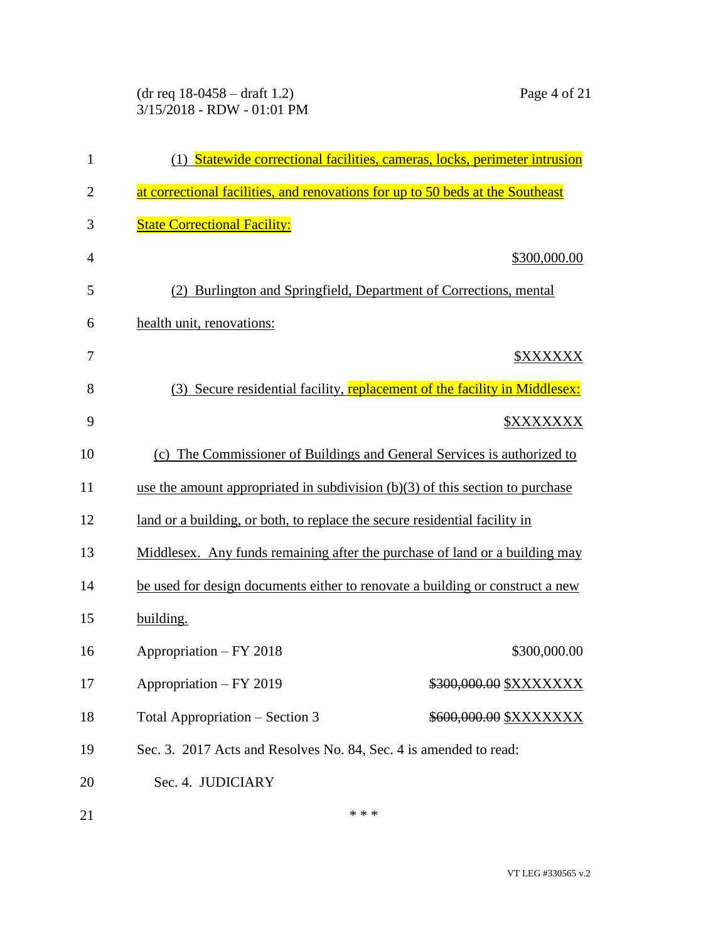## (dr req 18-0458 – draft 1.2) Page 4 of 21 3/15/2018 - RDW - 01:01 PM

| $\mathbf{1}$   |                                                                                 | (1) Statewide correctional facilities, cameras, locks, perimeter intrusion |
|----------------|---------------------------------------------------------------------------------|----------------------------------------------------------------------------|
| $\overline{2}$ | at correctional facilities, and renovations for up to 50 beds at the Southeast  |                                                                            |
| 3              | <b>State Correctional Facility:</b>                                             |                                                                            |
| $\overline{4}$ |                                                                                 | \$300,000.00                                                               |
| 5              |                                                                                 | Burlington and Springfield, Department of Corrections, mental              |
| 6              | health unit, renovations:                                                       |                                                                            |
| 7              |                                                                                 | <b><i>SXXXXXX</i></b>                                                      |
| 8              | (3)                                                                             | Secure residential facility, replacement of the facility in Middlesex:     |
| 9              |                                                                                 | <b><i><u>SXXXXXXX</u></i></b>                                              |
| 10             | (c) The Commissioner of Buildings and General Services is authorized to         |                                                                            |
| 11             | use the amount appropriated in subdivision $(b)(3)$ of this section to purchase |                                                                            |
| 12             | land or a building, or both, to replace the secure residential facility in      |                                                                            |
| 13             | Middlesex. Any funds remaining after the purchase of land or a building may     |                                                                            |
| 14             | be used for design documents either to renovate a building or construct a new   |                                                                            |
| 15             | building.                                                                       |                                                                            |
| 16             | Appropriation - FY 2018                                                         | \$300,000.00                                                               |
| 17             | Appropriation - FY 2019                                                         | \$300,000.00 \$XXXXXXX                                                     |
| 18             | Total Appropriation – Section 3                                                 | \$600,000.00 \$XXXXXXX                                                     |
| 19             | Sec. 3. 2017 Acts and Resolves No. 84, Sec. 4 is amended to read:               |                                                                            |
| 20             | Sec. 4. JUDICIARY                                                               |                                                                            |
| 21             | * * *                                                                           |                                                                            |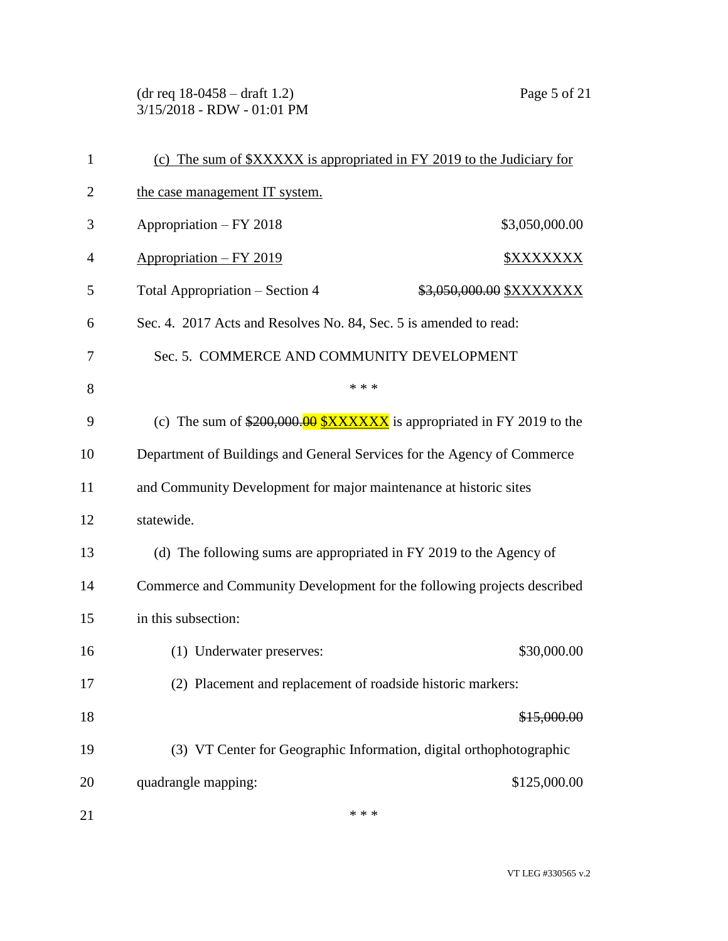(dr req 18-0458 – draft 1.2) Page 5 of 21 3/15/2018 - RDW - 01:01 PM

| $\mathbf{1}$   | (c) The sum of \$XXXXX is appropriated in FY 2019 to the Judiciary for  |  |  |
|----------------|-------------------------------------------------------------------------|--|--|
| $\overline{2}$ | the case management IT system.                                          |  |  |
| 3              | Appropriation - FY 2018<br>\$3,050,000.00                               |  |  |
| 4              | Appropriation - FY 2019<br><b><i>\$XXXXXXX</i></b>                      |  |  |
| 5              | Total Appropriation – Section 4<br>\$3,050,000.00 \$XXXXXXX             |  |  |
| 6              | Sec. 4. 2017 Acts and Resolves No. 84, Sec. 5 is amended to read:       |  |  |
| 7              | Sec. 5. COMMERCE AND COMMUNITY DEVELOPMENT                              |  |  |
| 8              | * * *                                                                   |  |  |
| 9              | (c) The sum of $$200,000.00$ $$XXXXX$ is appropriated in FY 2019 to the |  |  |
| 10             | Department of Buildings and General Services for the Agency of Commerce |  |  |
| 11             | and Community Development for major maintenance at historic sites       |  |  |
| 12             | statewide.                                                              |  |  |
| 13             | (d) The following sums are appropriated in FY 2019 to the Agency of     |  |  |
| 14             | Commerce and Community Development for the following projects described |  |  |
| 15             | in this subsection:                                                     |  |  |
| 16             | \$30,000.00<br>(1) Underwater preserves:                                |  |  |
| 17             | (2) Placement and replacement of roadside historic markers:             |  |  |
| 18             | \$15,000.00                                                             |  |  |
| 19             | (3) VT Center for Geographic Information, digital orthophotographic     |  |  |
| 20             | \$125,000.00<br>quadrangle mapping:                                     |  |  |
| 21             | * * *                                                                   |  |  |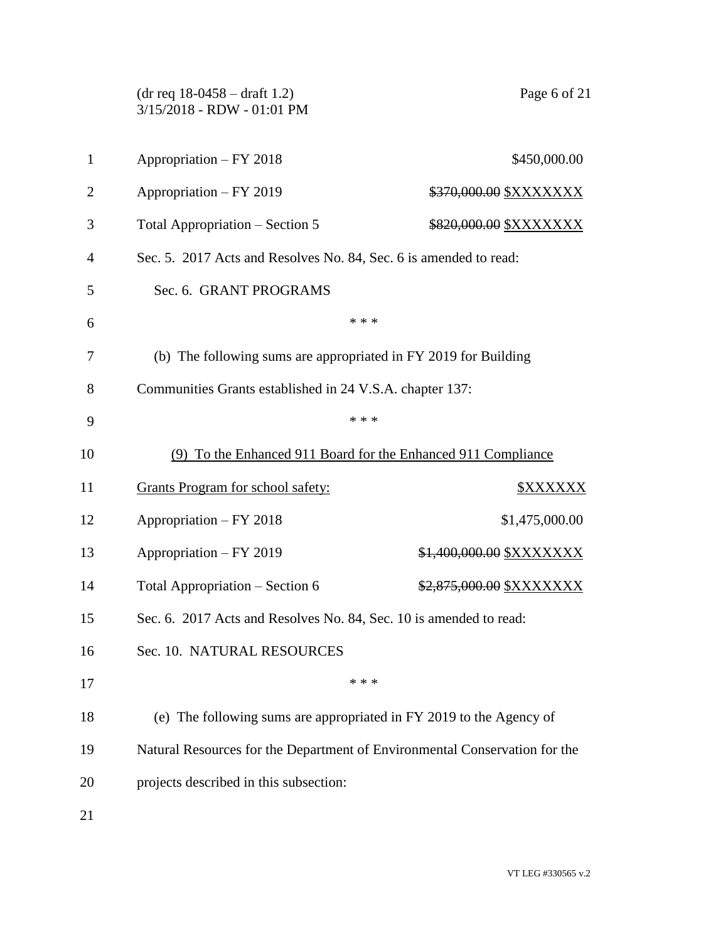|                | $(dr \text{ req } 18-0458 - draft 1.2)$<br>3/15/2018 - RDW - 01:01 PM      | Page 6 of 21                                                      |  |  |
|----------------|----------------------------------------------------------------------------|-------------------------------------------------------------------|--|--|
| $\mathbf{1}$   | Appropriation - FY 2018                                                    | \$450,000.00                                                      |  |  |
| $\overline{2}$ | Appropriation - FY 2019                                                    | <u>\$370,000.00 \$XXXXXXX</u>                                     |  |  |
| 3              | Total Appropriation – Section 5                                            | \$820,000.00 \$XXXXXXX                                            |  |  |
| 4              |                                                                            | Sec. 5. 2017 Acts and Resolves No. 84, Sec. 6 is amended to read: |  |  |
| 5              | Sec. 6. GRANT PROGRAMS                                                     |                                                                   |  |  |
| 6              | * * *                                                                      |                                                                   |  |  |
| 7              | (b) The following sums are appropriated in FY 2019 for Building            |                                                                   |  |  |
| 8              | Communities Grants established in 24 V.S.A. chapter 137:                   |                                                                   |  |  |
| 9              | * * *                                                                      |                                                                   |  |  |
| 10             | (9) To the Enhanced 911 Board for the Enhanced 911 Compliance              |                                                                   |  |  |
| 11             | <b>Grants Program for school safety:</b>                                   | <b><i>\$XXXXXX</i></b>                                            |  |  |
| 12             | Appropriation - FY 2018                                                    | \$1,475,000.00                                                    |  |  |
| 13             | Appropriation - FY 2019                                                    | \$1,400,000.00 \$XXXXXXX                                          |  |  |
| 14             | Total Appropriation – Section 6                                            | <del>\$2,875,000.00</del> \$XXXXXXX                               |  |  |
| 15             | Sec. 6. 2017 Acts and Resolves No. 84, Sec. 10 is amended to read:         |                                                                   |  |  |
| 16             | Sec. 10. NATURAL RESOURCES                                                 |                                                                   |  |  |
| 17             | * * *                                                                      |                                                                   |  |  |
| 18             | (e) The following sums are appropriated in FY 2019 to the Agency of        |                                                                   |  |  |
| 19             | Natural Resources for the Department of Environmental Conservation for the |                                                                   |  |  |
| 20             | projects described in this subsection:                                     |                                                                   |  |  |
| 21             |                                                                            |                                                                   |  |  |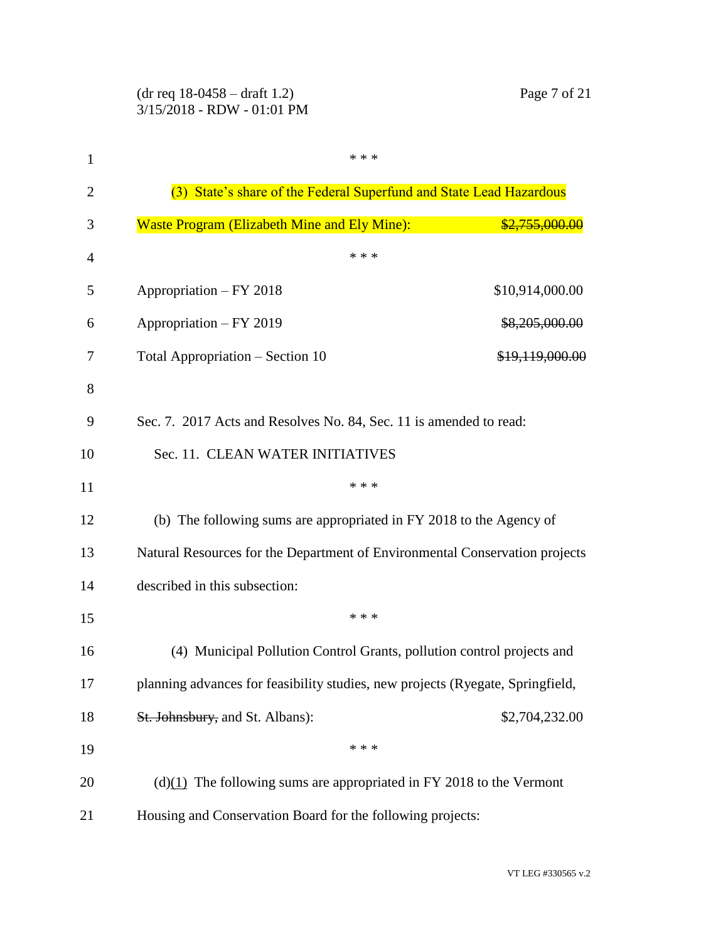| $\mathbf{1}$   | * * *                                                                          |                           |
|----------------|--------------------------------------------------------------------------------|---------------------------|
| $\overline{2}$ | (3) State's share of the Federal Superfund and State Lead Hazardous            |                           |
| 3              | <b>Waste Program (Elizabeth Mine and Ely Mine):</b>                            | <del>\$2,755,000.00</del> |
| $\overline{4}$ | * * *                                                                          |                           |
| 5              | Appropriation - FY 2018                                                        | \$10,914,000.00           |
| 6              | Appropriation - FY 2019                                                        | \$8,205,000.00            |
| 7              | Total Appropriation – Section 10                                               | \$19,119,000.00           |
| 8              |                                                                                |                           |
| 9              | Sec. 7. 2017 Acts and Resolves No. 84, Sec. 11 is amended to read:             |                           |
| 10             | Sec. 11. CLEAN WATER INITIATIVES                                               |                           |
| 11             | * * *                                                                          |                           |
| 12             | (b) The following sums are appropriated in FY 2018 to the Agency of            |                           |
| 13             | Natural Resources for the Department of Environmental Conservation projects    |                           |
| 14             | described in this subsection:                                                  |                           |
| 15             | * * *                                                                          |                           |
| 16             | (4) Municipal Pollution Control Grants, pollution control projects and         |                           |
| 17             | planning advances for feasibility studies, new projects (Ryegate, Springfield, |                           |
| 18             | St. Johnsbury, and St. Albans):                                                | \$2,704,232.00            |
| 19             | * * *                                                                          |                           |
| 20             | $(d)(1)$ The following sums are appropriated in FY 2018 to the Vermont         |                           |
| 21             | Housing and Conservation Board for the following projects:                     |                           |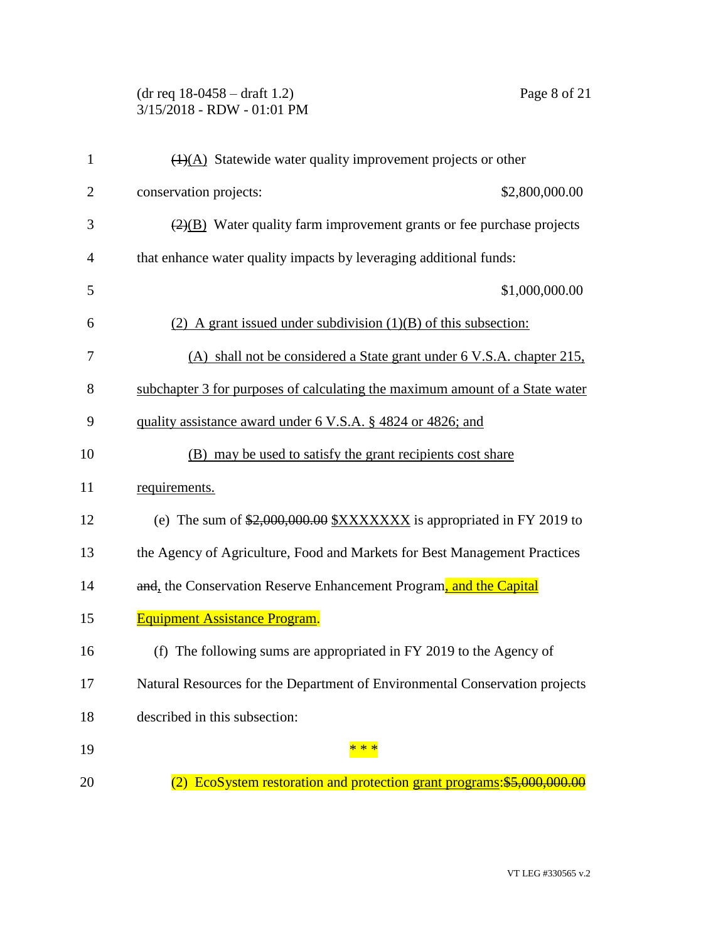## (dr req 18-0458 – draft 1.2) Page 8 of 21 3/15/2018 - RDW - 01:01 PM

| $\mathbf{1}$   | $\overline{(1)(A)}$ Statewide water quality improvement projects or other                 |
|----------------|-------------------------------------------------------------------------------------------|
| $\overline{2}$ | conservation projects:<br>\$2,800,000.00                                                  |
| 3              | $\left(\frac{2}{2}\right)$ Water quality farm improvement grants or fee purchase projects |
| $\overline{4}$ | that enhance water quality impacts by leveraging additional funds:                        |
| 5              | \$1,000,000.00                                                                            |
| 6              | (2) A grant issued under subdivision $(1)(B)$ of this subsection:                         |
| 7              | (A) shall not be considered a State grant under 6 V.S.A. chapter 215.                     |
| 8              | subchapter 3 for purposes of calculating the maximum amount of a State water              |
| 9              | quality assistance award under 6 V.S.A. § 4824 or 4826; and                               |
| 10             | (B) may be used to satisfy the grant recipients cost share                                |
| 11             | requirements.                                                                             |
| 12             | (e) The sum of $\frac{$2,000,000.00}{$X$XXXXXX}$ is appropriated in FY 2019 to            |
| 13             | the Agency of Agriculture, Food and Markets for Best Management Practices                 |
| 14             | and, the Conservation Reserve Enhancement Program, and the Capital                        |
| 15             | <b>Equipment Assistance Program.</b>                                                      |
| 16             | (f) The following sums are appropriated in FY 2019 to the Agency of                       |
| 17             | Natural Resources for the Department of Environmental Conservation projects               |
| 18             | described in this subsection:                                                             |
| 19             |                                                                                           |
| 20             | (2) EcoSystem restoration and protection grant programs: \$5,000,000.00                   |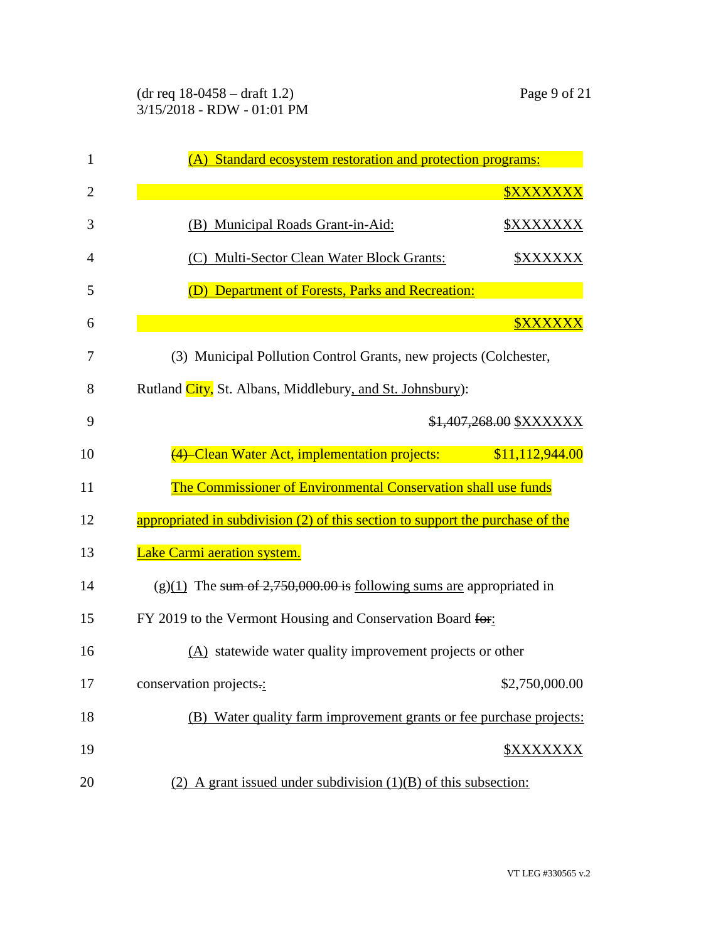| 1              | (A) Standard ecosystem restoration and protection programs:                    |  |
|----------------|--------------------------------------------------------------------------------|--|
| $\overline{2}$ | <b><i><u>SXXXXXXX</u></i></b>                                                  |  |
| 3              | (B) Municipal Roads Grant-in-Aid:                                              |  |
| 4              | (C) Multi-Sector Clean Water Block Grants:<br><u> \$XXXXXX</u>                 |  |
| 5              | Department of Forests, Parks and Recreation:<br>(D)                            |  |
| 6              | <b><i><u>SXXXXXX</u></i></b>                                                   |  |
| 7              | (3) Municipal Pollution Control Grants, new projects (Colchester,              |  |
| 8              | Rutland City, St. Albans, Middlebury, and St. Johnsbury):                      |  |
| 9              | \$1,407,268.00 \$XXXXXX                                                        |  |
| 10             | (4) Clean Water Act, implementation projects:<br>\$11,112,944.00               |  |
| 11             | The Commissioner of Environmental Conservation shall use funds                 |  |
| 12             | appropriated in subdivision (2) of this section to support the purchase of the |  |
| 13             | Lake Carmi aeration system.                                                    |  |
| 14             | $(g)(1)$ The sum of 2,750,000.00 is following sums are appropriated in         |  |
| 15             | FY 2019 to the Vermont Housing and Conservation Board for:                     |  |
| 16             | (A) statewide water quality improvement projects or other                      |  |
| 17             | \$2,750,000.00<br>conservation projects.:                                      |  |
| 18             | (B) Water quality farm improvement grants or fee purchase projects:            |  |
| 19             | \$XXXXXXX                                                                      |  |
| 20             | (2) A grant issued under subdivision $(1)(B)$ of this subsection:              |  |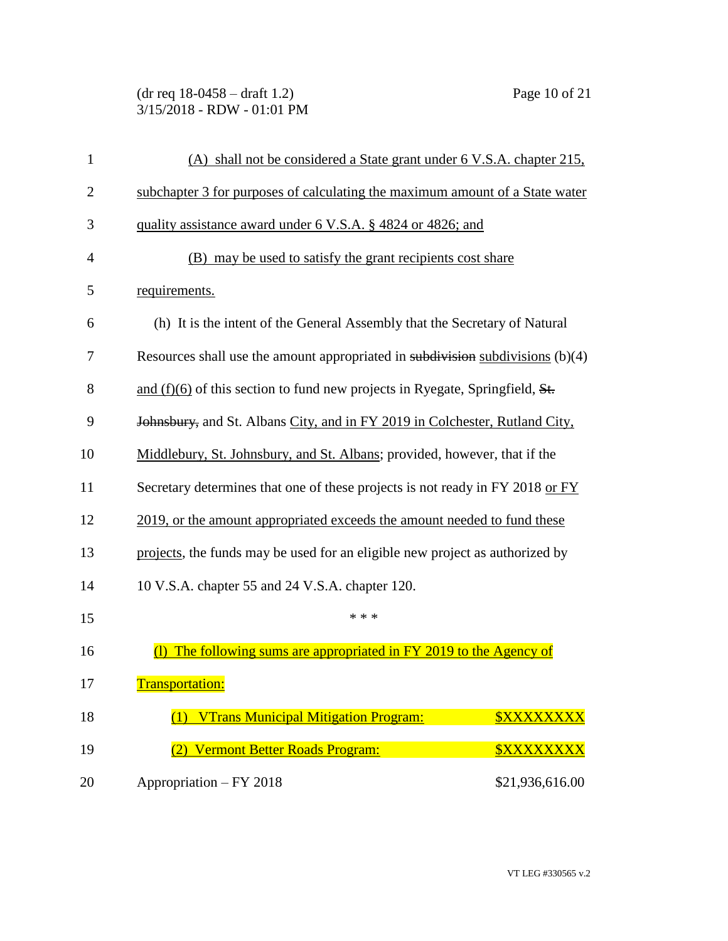(dr req 18-0458 – draft 1.2) Page 10 of 21 3/15/2018 - RDW - 01:01 PM

| 1              | (A) shall not be considered a State grant under 6 V.S.A. chapter 215.            |  |
|----------------|----------------------------------------------------------------------------------|--|
| $\overline{2}$ | subchapter 3 for purposes of calculating the maximum amount of a State water     |  |
| 3              | quality assistance award under 6 V.S.A. § 4824 or 4826; and                      |  |
| $\overline{4}$ | (B) may be used to satisfy the grant recipients cost share                       |  |
| 5              | requirements.                                                                    |  |
| 6              | (h) It is the intent of the General Assembly that the Secretary of Natural       |  |
| 7              | Resources shall use the amount appropriated in subdivision subdivisions $(b)(4)$ |  |
| 8              | and $(f)(6)$ of this section to fund new projects in Ryegate, Springfield, $St.$ |  |
| 9              | Johnsbury, and St. Albans City, and in FY 2019 in Colchester, Rutland City,      |  |
| 10             | Middlebury, St. Johnsbury, and St. Albans; provided, however, that if the        |  |
| 11             | Secretary determines that one of these projects is not ready in FY 2018 or FY    |  |
| 12             | 2019, or the amount appropriated exceeds the amount needed to fund these         |  |
| 13             | projects, the funds may be used for an eligible new project as authorized by     |  |
| 14             | 10 V.S.A. chapter 55 and 24 V.S.A. chapter 120.                                  |  |
| 15             | * * *                                                                            |  |
| 16             | The following sums are appropriated in FY 2019 to the Agency of<br>O             |  |
| 17             | <b>Transportation:</b>                                                           |  |
| 18             | <b>VTrans Municipal Mitigation Program:</b><br><b><i><u>SXXXXXXXX</u></i></b>    |  |
| 19             | (2) Vermont Better Roads Program:<br><b><i><u>SXXXXXXXX</u></i></b>              |  |
| 20             | Appropriation - FY 2018<br>\$21,936,616.00                                       |  |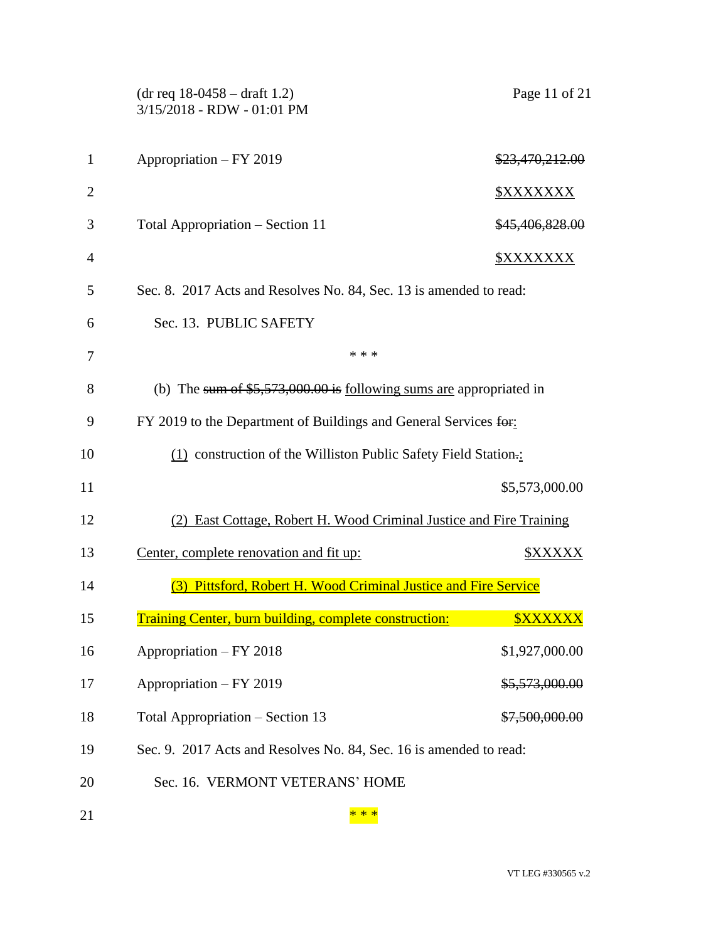|                | $(dr \text{ req } 18-0458 - draft 1.2)$<br>3/15/2018 - RDW - 01:01 PM  | Page 11 of 21     |
|----------------|------------------------------------------------------------------------|-------------------|
| $\mathbf{1}$   | Appropriation - FY 2019                                                | \$23,470,212.00   |
| $\overline{2}$ |                                                                        | <u> \$XXXXXXX</u> |
| 3              | Total Appropriation – Section 11                                       | \$45,406,828.00   |
| $\overline{4}$ |                                                                        | <u> \$XXXXXXX</u> |
| 5              | Sec. 8. 2017 Acts and Resolves No. 84, Sec. 13 is amended to read:     |                   |
| 6              | Sec. 13. PUBLIC SAFETY                                                 |                   |
| 7              | * * *                                                                  |                   |
| 8              | (b) The sum of $$5,573,000.00$ is following sums are appropriated in   |                   |
| 9              | FY 2019 to the Department of Buildings and General Services for:       |                   |
| 10             | (1) construction of the Williston Public Safety Field Station.         |                   |
| 11             |                                                                        | \$5,573,000.00    |
| 12             | (2) East Cottage, Robert H. Wood Criminal Justice and Fire Training    |                   |
| 13             | Center, complete renovation and fit up:                                | <b>\$XXXXX</b>    |
| 14             | (3) Pittsford, Robert H. Wood Criminal Justice and Fire Service        |                   |
| 15             | Training Center, burn building, complete construction: <b>WAXXXXXX</b> |                   |
| 16             | Appropriation – FY 2018                                                | \$1,927,000.00    |
| 17             | Appropriation - FY 2019                                                | \$5,573,000.00    |
| 18             | Total Appropriation – Section 13                                       | \$7,500,000.00    |
| 19             | Sec. 9. 2017 Acts and Resolves No. 84, Sec. 16 is amended to read:     |                   |
| 20             | Sec. 16. VERMONT VETERANS' HOME                                        |                   |
| 21             | * * *                                                                  |                   |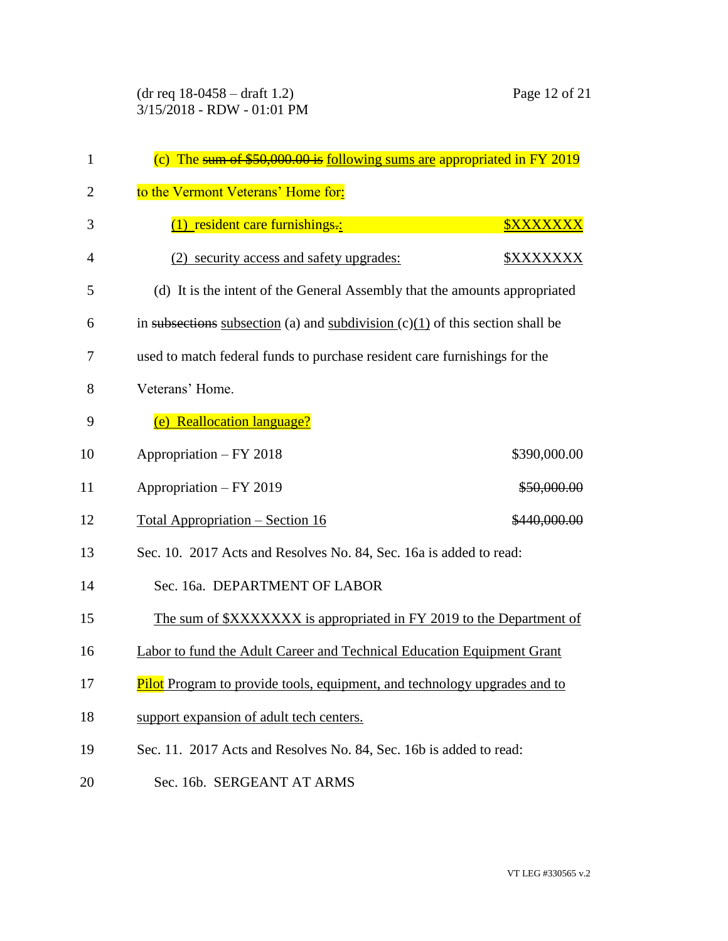| 1              | (c) The sum of $$50,000.00$ is following sums are appropriated in FY 2019        |                               |  |
|----------------|----------------------------------------------------------------------------------|-------------------------------|--|
| $\overline{2}$ | to the Vermont Veterans' Home for:                                               |                               |  |
| 3              | $(1)$ resident care furnishings.:                                                | <b><i><u>SXXXXXXX</u></i></b> |  |
| 4              | (2) security access and safety upgrades:                                         | <b><i>\$XXXXXXX</i></b>       |  |
| 5              | (d) It is the intent of the General Assembly that the amounts appropriated       |                               |  |
| 6              | in subsections subsection (a) and subdivision $(c)(1)$ of this section shall be  |                               |  |
| 7              | used to match federal funds to purchase resident care furnishings for the        |                               |  |
| 8              | Veterans' Home.                                                                  |                               |  |
| 9              | (e) Reallocation language?                                                       |                               |  |
| 10             | Appropriation - FY 2018                                                          | \$390,000.00                  |  |
| 11             | Appropriation - FY 2019                                                          | \$50,000.00                   |  |
| 12             | <u> Total Appropriation – Section 16</u>                                         | \$440,000.00                  |  |
| 13             | Sec. 10. 2017 Acts and Resolves No. 84, Sec. 16a is added to read:               |                               |  |
| 14             | Sec. 16a. DEPARTMENT OF LABOR                                                    |                               |  |
| 15             | The sum of \$XXXXXXX is appropriated in FY 2019 to the Department of             |                               |  |
| 16             | Labor to fund the Adult Career and Technical Education Equipment Grant           |                               |  |
| 17             | <b>Pilot</b> Program to provide tools, equipment, and technology upgrades and to |                               |  |
| 18             | support expansion of adult tech centers.                                         |                               |  |
| 19             | Sec. 11. 2017 Acts and Resolves No. 84, Sec. 16b is added to read:               |                               |  |

Sec. 16b. SERGEANT AT ARMS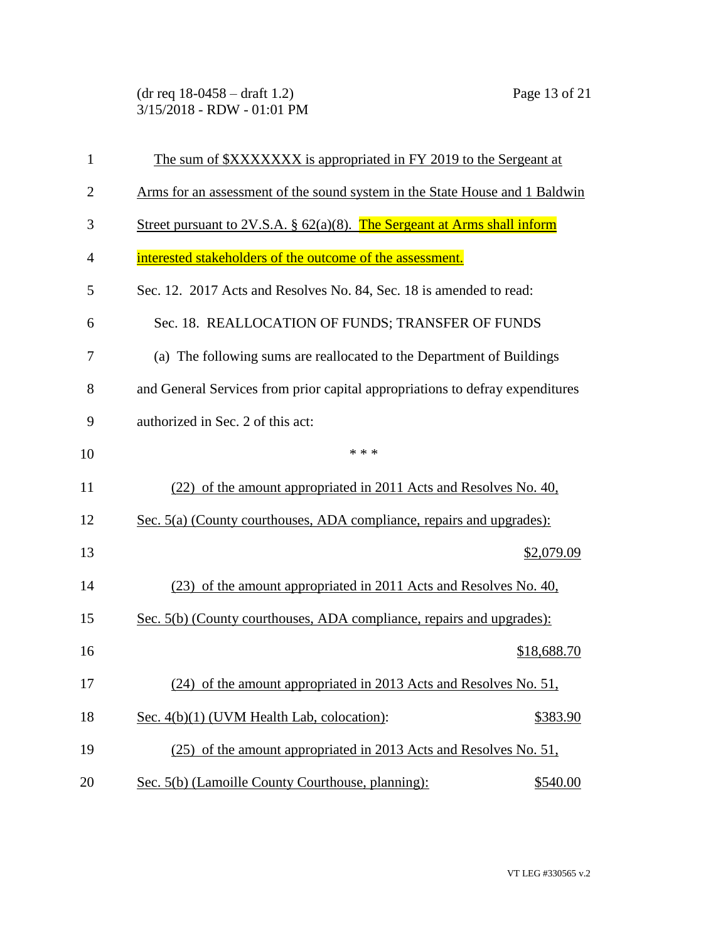(dr req 18-0458 – draft 1.2) Page 13 of 21 3/15/2018 - RDW - 01:01 PM

| $\mathbf{1}$   | The sum of \$XXXXXXX is appropriated in FY 2019 to the Sergeant at            |
|----------------|-------------------------------------------------------------------------------|
| $\overline{2}$ | Arms for an assessment of the sound system in the State House and 1 Baldwin   |
| 3              | Street pursuant to 2V.S.A. $\S$ 62(a)(8). The Sergeant at Arms shall inform   |
| $\overline{4}$ | interested stakeholders of the outcome of the assessment.                     |
| 5              | Sec. 12. 2017 Acts and Resolves No. 84, Sec. 18 is amended to read:           |
| 6              | Sec. 18. REALLOCATION OF FUNDS; TRANSFER OF FUNDS                             |
| 7              | (a) The following sums are reallocated to the Department of Buildings         |
| 8              | and General Services from prior capital appropriations to defray expenditures |
| 9              | authorized in Sec. 2 of this act:                                             |
| 10             | * * *                                                                         |
| 11             | (22) of the amount appropriated in 2011 Acts and Resolves No. 40,             |
| 12             | Sec. 5(a) (County courthouses, ADA compliance, repairs and upgrades):         |
| 13             | \$2,079.09                                                                    |
| 14             | (23) of the amount appropriated in 2011 Acts and Resolves No. 40,             |
| 15             | Sec. 5(b) (County courthouses, ADA compliance, repairs and upgrades):         |
| 16             | \$18,688.70                                                                   |
| 17             | (24) of the amount appropriated in 2013 Acts and Resolves No. 51,             |
| 18             | Sec. 4(b)(1) (UVM Health Lab, colocation):<br>\$383.90                        |
| 19             | (25) of the amount appropriated in 2013 Acts and Resolves No. 51,             |
| 20             | Sec. 5(b) (Lamoille County Courthouse, planning):<br>\$540.00                 |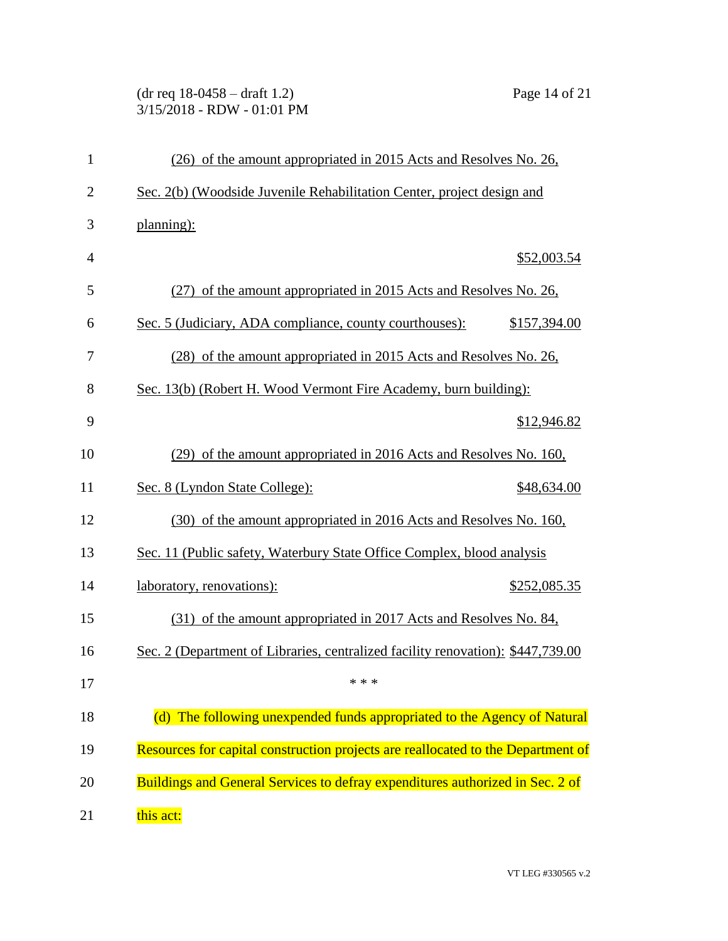## (dr req 18-0458 – draft 1.2) Page 14 of 21 3/15/2018 - RDW - 01:01 PM

| $\mathbf{1}$   | (26) of the amount appropriated in 2015 Acts and Resolves No. 26,                |              |
|----------------|----------------------------------------------------------------------------------|--------------|
| $\overline{2}$ | Sec. 2(b) (Woodside Juvenile Rehabilitation Center, project design and           |              |
| 3              | planning):                                                                       |              |
| $\overline{4}$ |                                                                                  | \$52,003.54  |
| 5              | (27) of the amount appropriated in 2015 Acts and Resolves No. 26,                |              |
| 6              | Sec. 5 (Judiciary, ADA compliance, county courthouses):                          | \$157,394.00 |
| 7              | (28) of the amount appropriated in 2015 Acts and Resolves No. 26,                |              |
| 8              | Sec. 13(b) (Robert H. Wood Vermont Fire Academy, burn building):                 |              |
| 9              |                                                                                  | \$12,946.82  |
| 10             | (29) of the amount appropriated in 2016 Acts and Resolves No. 160,               |              |
| 11             | Sec. 8 (Lyndon State College):                                                   | \$48,634.00  |
| 12             | (30) of the amount appropriated in 2016 Acts and Resolves No. 160,               |              |
| 13             | Sec. 11 (Public safety, Waterbury State Office Complex, blood analysis           |              |
| 14             | laboratory, renovations):                                                        | \$252,085.35 |
| 15             | (31) of the amount appropriated in 2017 Acts and Resolves No. 84,                |              |
| 16             | Sec. 2 (Department of Libraries, centralized facility renovation): \$447,739.00  |              |
| 17             | * * *                                                                            |              |
| 18             | (d) The following unexpended funds appropriated to the Agency of Natural         |              |
| 19             | Resources for capital construction projects are reallocated to the Department of |              |
| 20             | Buildings and General Services to defray expenditures authorized in Sec. 2 of    |              |
| 21             | this act:                                                                        |              |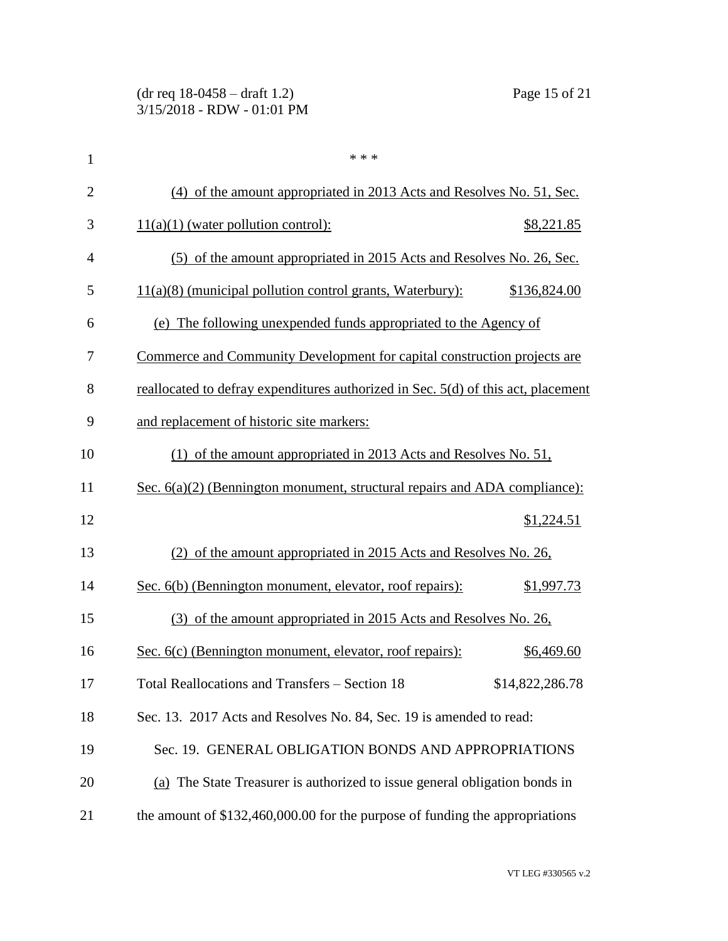| $\mathbf{1}$   | * * *                                                                             |
|----------------|-----------------------------------------------------------------------------------|
| $\overline{2}$ | (4) of the amount appropriated in 2013 Acts and Resolves No. 51, Sec.             |
| 3              | $11(a)(1)$ (water pollution control):<br>\$8,221.85                               |
| $\overline{4}$ | (5) of the amount appropriated in 2015 Acts and Resolves No. 26, Sec.             |
| 5              | $11(a)(8)$ (municipal pollution control grants, Waterbury):<br>\$136,824.00       |
| 6              | (e) The following unexpended funds appropriated to the Agency of                  |
| 7              | Commerce and Community Development for capital construction projects are          |
| 8              | reallocated to defray expenditures authorized in Sec. 5(d) of this act, placement |
| 9              | and replacement of historic site markers:                                         |
| 10             | (1) of the amount appropriated in 2013 Acts and Resolves No. 51,                  |
| 11             | Sec. $6(a)(2)$ (Bennington monument, structural repairs and ADA compliance):      |
| 12             | \$1,224.51                                                                        |
| 13             | (2) of the amount appropriated in 2015 Acts and Resolves No. 26,                  |
| 14             | Sec. 6(b) (Bennington monument, elevator, roof repairs):<br>\$1,997.73            |
| 15             | (3) of the amount appropriated in 2015 Acts and Resolves No. 26,                  |
| 16             | Sec. 6(c) (Bennington monument, elevator, roof repairs):<br>\$6,469.60            |
| 17             | Total Reallocations and Transfers - Section 18<br>\$14,822,286.78                 |
| 18             | Sec. 13. 2017 Acts and Resolves No. 84, Sec. 19 is amended to read:               |
| 19             | Sec. 19. GENERAL OBLIGATION BONDS AND APPROPRIATIONS                              |
| 20             | (a) The State Treasurer is authorized to issue general obligation bonds in        |
| 21             | the amount of \$132,460,000.00 for the purpose of funding the appropriations      |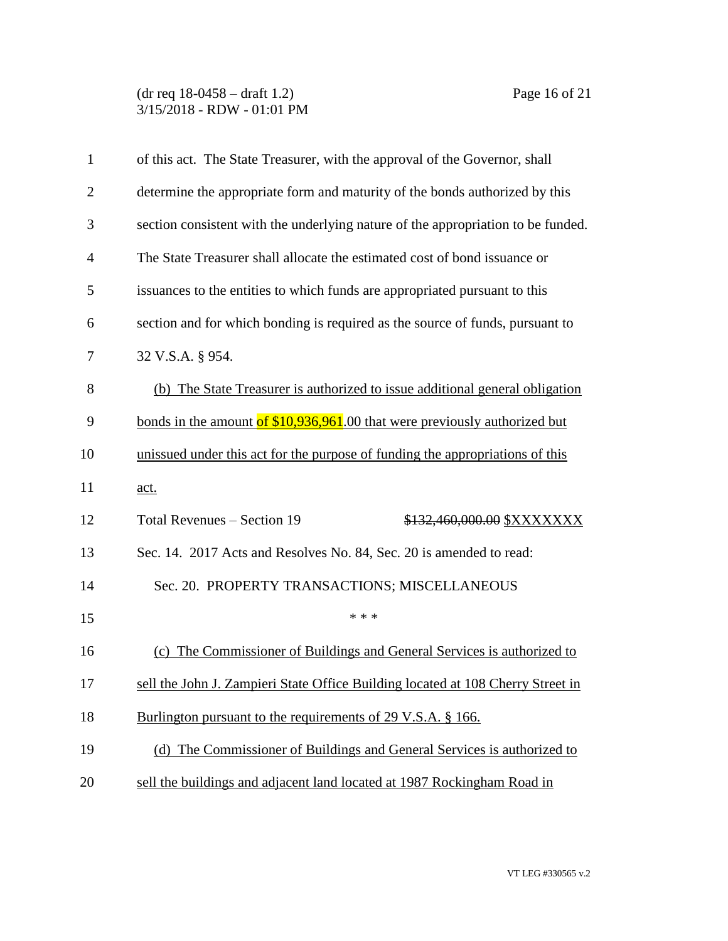(dr req 18-0458 – draft 1.2) Page 16 of 21 3/15/2018 - RDW - 01:01 PM

| 1              | of this act. The State Treasurer, with the approval of the Governor, shall       |
|----------------|----------------------------------------------------------------------------------|
| $\overline{c}$ | determine the appropriate form and maturity of the bonds authorized by this      |
| 3              | section consistent with the underlying nature of the appropriation to be funded. |
| 4              | The State Treasurer shall allocate the estimated cost of bond issuance or        |
| 5              | issuances to the entities to which funds are appropriated pursuant to this       |
| 6              | section and for which bonding is required as the source of funds, pursuant to    |
| 7              | 32 V.S.A. § 954.                                                                 |
| 8              | (b) The State Treasurer is authorized to issue additional general obligation     |
| 9              | bonds in the amount of \$10,936,961.00 that were previously authorized but       |
| 10             | unissued under this act for the purpose of funding the appropriations of this    |
| 11             | <u>act.</u>                                                                      |
| 12             | Total Revenues - Section 19<br>\$132,460,000.00 \$XXXXXXX                        |
| 13             | Sec. 14. 2017 Acts and Resolves No. 84, Sec. 20 is amended to read:              |
| 14             | Sec. 20. PROPERTY TRANSACTIONS; MISCELLANEOUS                                    |
| 15             | * * *                                                                            |
| 16             | (c) The Commissioner of Buildings and General Services is authorized to          |
| 17             | sell the John J. Zampieri State Office Building located at 108 Cherry Street in  |
| 18             | Burlington pursuant to the requirements of 29 V.S.A. § 166.                      |
| 19             | (d) The Commissioner of Buildings and General Services is authorized to          |
| 20             | sell the buildings and adjacent land located at 1987 Rockingham Road in          |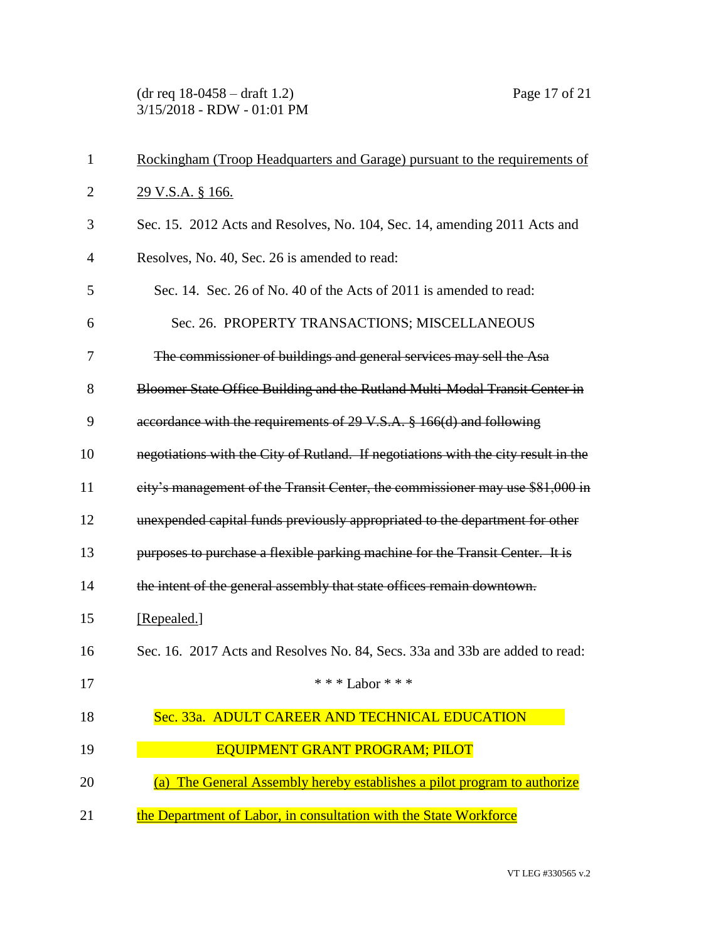(dr req 18-0458 – draft 1.2) Page 17 of 21 3/15/2018 - RDW - 01:01 PM

| 1              | Rockingham (Troop Headquarters and Garage) pursuant to the requirements of         |
|----------------|------------------------------------------------------------------------------------|
| $\overline{2}$ | <u>29 V.S.A. § 166.</u>                                                            |
| 3              | Sec. 15. 2012 Acts and Resolves, No. 104, Sec. 14, amending 2011 Acts and          |
| 4              | Resolves, No. 40, Sec. 26 is amended to read:                                      |
| 5              | Sec. 14. Sec. 26 of No. 40 of the Acts of 2011 is amended to read:                 |
| 6              | Sec. 26. PROPERTY TRANSACTIONS; MISCELLANEOUS                                      |
| 7              | The commissioner of buildings and general services may sell the Asa                |
| 8              | Bloomer State Office Building and the Rutland Multi Modal Transit Center in        |
| 9              | accordance with the requirements of 29 V.S.A. § 166(d) and following               |
| 10             | negotiations with the City of Rutland. If negotiations with the city result in the |
| 11             | city's management of the Transit Center, the commissioner may use \$81,000 in      |
| 12             | unexpended capital funds previously appropriated to the department for other       |
| 13             | purposes to purchase a flexible parking machine for the Transit Center. It is      |
| 14             | the intent of the general assembly that state offices remain downtown.             |
| 15             | [Repealed.]                                                                        |
| 16             | Sec. 16. 2017 Acts and Resolves No. 84, Secs. 33a and 33b are added to read:       |
| 17             | * * * Labor * * *                                                                  |
| 18             | Sec. 33a. ADULT CAREER AND TECHNICAL EDUCATION                                     |
| 19             | <b>EQUIPMENT GRANT PROGRAM; PILOT</b>                                              |
| 20             | The General Assembly hereby establishes a pilot program to authorize<br>(a)        |
| 21             | the Department of Labor, in consultation with the State Workforce                  |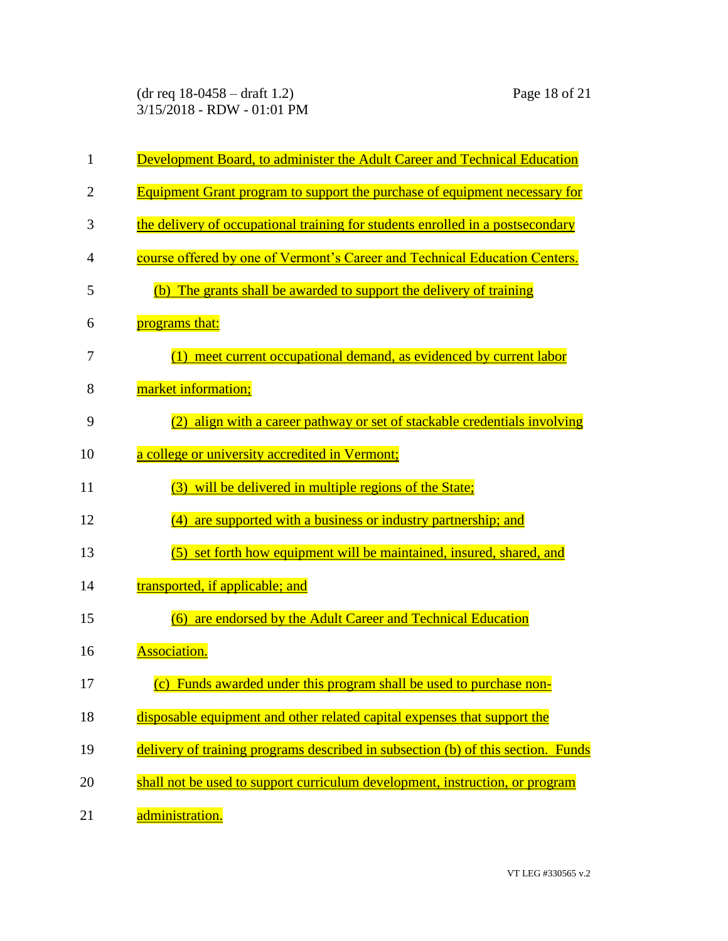(dr req 18-0458 – draft 1.2) Page 18 of 21 3/15/2018 - RDW - 01:01 PM

| $\mathbf{1}$   | <b>Development Board, to administer the Adult Career and Technical Education</b>  |
|----------------|-----------------------------------------------------------------------------------|
| $\overline{2}$ | <b>Equipment Grant program to support the purchase of equipment necessary for</b> |
| 3              | the delivery of occupational training for students enrolled in a postsecondary    |
| 4              | course offered by one of Vermont's Career and Technical Education Centers.        |
| 5              | The grants shall be awarded to support the delivery of training<br>(b)            |
| 6              | programs that:                                                                    |
| 7              | (1) meet current occupational demand, as evidenced by current labor               |
| 8              | market information;                                                               |
| 9              | align with a career pathway or set of stackable credentials involving             |
| 10             | a college or university accredited in Vermont;                                    |
| 11             | will be delivered in multiple regions of the State;<br>(3)                        |
| 12             | (4) are supported with a business or industry partnership; and                    |
| 13             | (5) set forth how equipment will be maintained, insured, shared, and              |
| 14             | transported, if applicable; and                                                   |
| 15             | are endorsed by the Adult Career and Technical Education<br>(6)                   |
| 16             | <b>Association.</b>                                                               |
| 17             | (c) Funds awarded under this program shall be used to purchase non-               |
| 18             | disposable equipment and other related capital expenses that support the          |
| 19             | delivery of training programs described in subsection (b) of this section. Funds  |
| 20             | shall not be used to support curriculum development, instruction, or program      |
| 21             | administration.                                                                   |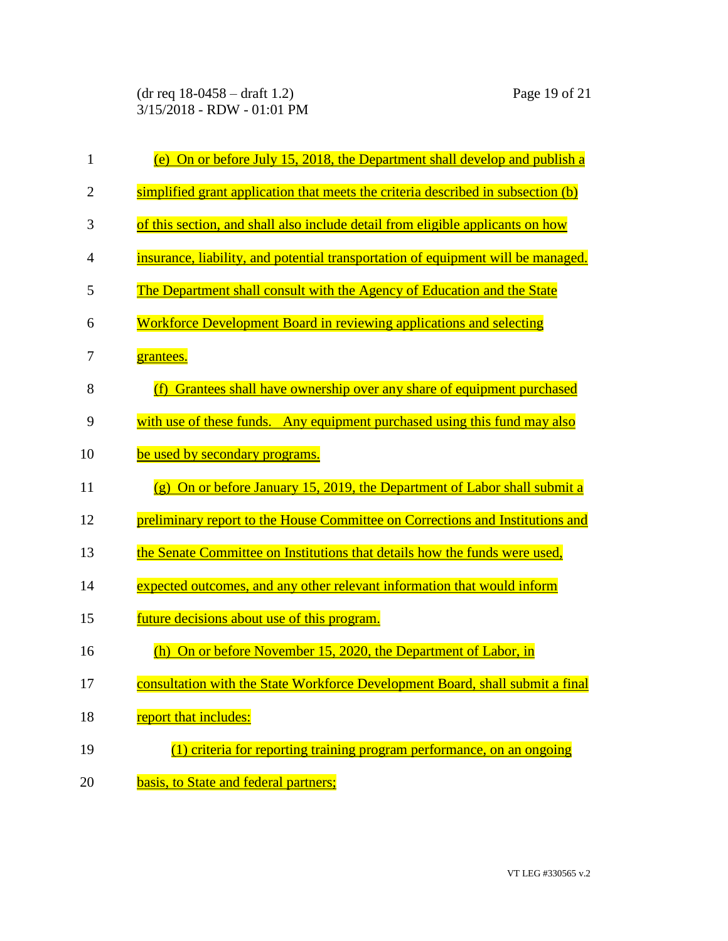(dr req 18-0458 – draft 1.2) Page 19 of 21 3/15/2018 - RDW - 01:01 PM

| $\mathbf{1}$   | (e) On or before July 15, 2018, the Department shall develop and publish a                     |
|----------------|------------------------------------------------------------------------------------------------|
| $\overline{2}$ | simplified grant application that meets the criteria described in subsection (b)               |
| 3              | of this section, and shall also include detail from eligible applicants on how                 |
| 4              | insurance, liability, and potential transportation of equipment will be managed.               |
| 5              | The Department shall consult with the Agency of Education and the State                        |
| 6              | Workforce Development Board in reviewing applications and selecting                            |
| 7              | grantees.                                                                                      |
| 8              | Grantees shall have ownership over any share of equipment purchased<br>(f)                     |
| 9              | with use of these funds. Any equipment purchased using this fund may also                      |
| 10             | be used by secondary programs.                                                                 |
| 11             | On or before January 15, 2019, the Department of Labor shall submit a<br>$\left( \rho \right)$ |
| 12             | preliminary report to the House Committee on Corrections and Institutions and                  |
| 13             | the Senate Committee on Institutions that details how the funds were used,                     |
| 14             | expected outcomes, and any other relevant information that would inform                        |
| 15             | future decisions about use of this program.                                                    |
| 16             | On or before November 15, 2020, the Department of Labor, in<br>(h)                             |
| 17             | consultation with the State Workforce Development Board, shall submit a final                  |
| 18             | report that includes:                                                                          |
| 19             | $(1)$ criteria for reporting training program performance, on an ongoing                       |
| 20             | basis, to State and federal partners;                                                          |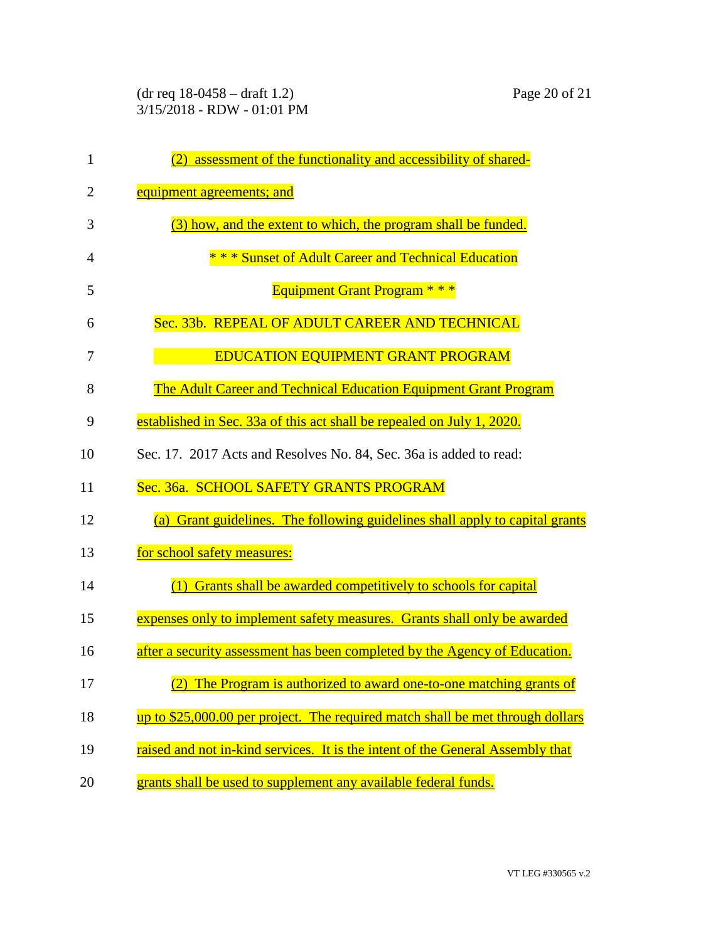| 1              | assessment of the functionality and accessibility of shared-<br>(2)                    |
|----------------|----------------------------------------------------------------------------------------|
| $\overline{2}$ | equipment agreements; and                                                              |
| 3              | (3) how, and the extent to which, the program shall be funded.                         |
| 4              | * * * Sunset of Adult Career and Technical Education                                   |
| 5              | <b>Equipment Grant Program * * *</b>                                                   |
| 6              | Sec. 33b. REPEAL OF ADULT CAREER AND TECHNICAL                                         |
| 7              | <b>EDUCATION EQUIPMENT GRANT PROGRAM</b>                                               |
| 8              | The Adult Career and Technical Education Equipment Grant Program                       |
| 9              | established in Sec. 33a of this act shall be repealed on July 1, 2020.                 |
| 10             | Sec. 17. 2017 Acts and Resolves No. 84, Sec. 36a is added to read:                     |
| 11             | Sec. 36a. SCHOOL SAFETY GRANTS PROGRAM                                                 |
| 12             | Grant guidelines. The following guidelines shall apply to capital grants<br><b>(a)</b> |
| 13             | for school safety measures:                                                            |
| 14             | (1) Grants shall be awarded competitively to schools for capital                       |
| 15             | expenses only to implement safety measures. Grants shall only be awarded               |
| 16             | after a security assessment has been completed by the Agency of Education.             |
| 17             | (2) The Program is authorized to award one-to-one matching grants of                   |
| 18             | up to \$25,000.00 per project. The required match shall be met through dollars         |
| 19             | raised and not in-kind services. It is the intent of the General Assembly that         |
| 20             | grants shall be used to supplement any available federal funds.                        |